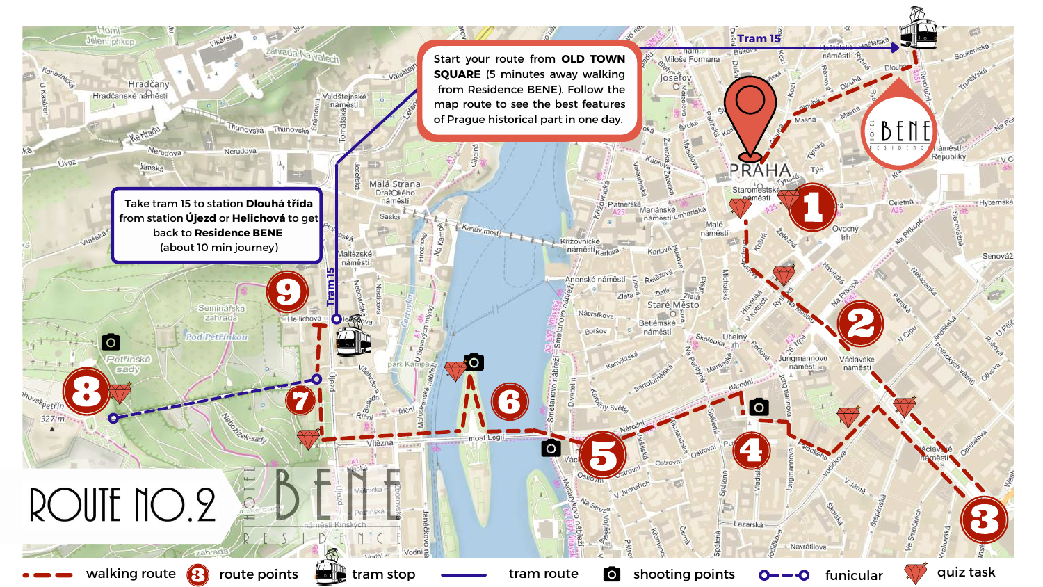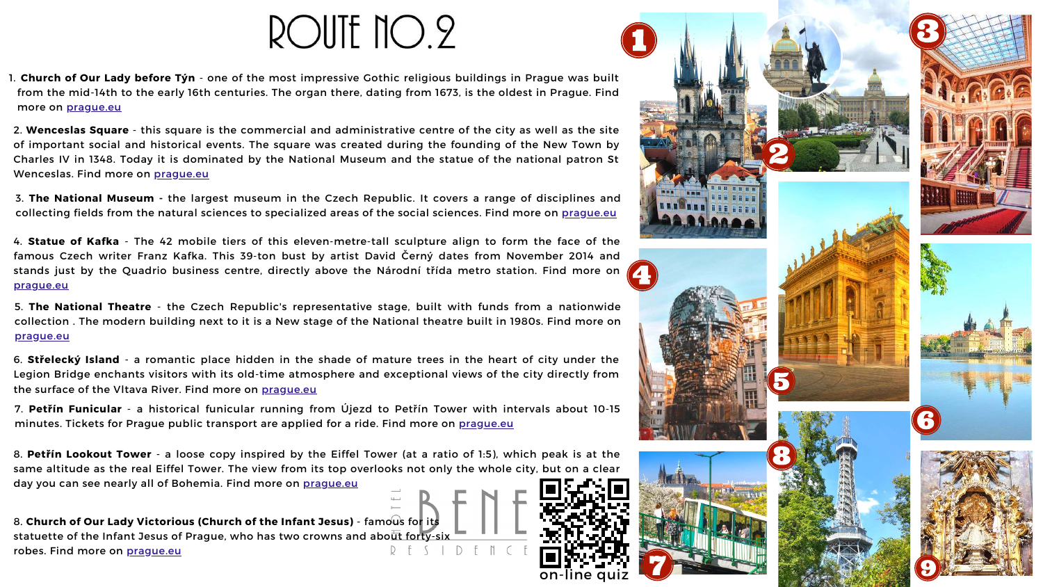## ROUTE NO.2



**Church of Our Lady before Týn** - one of the most impressive Gothic religious buildings in Prague was built 1. from the mid-14th to the early 16th centuries. The organ there, dating from 1673, is the oldest in Prague. Find more on [prague.eu](https://www.prague.eu/en/object/places/76/church-of-our-lady-before-tyn-chram-matky-bozi-pred-tynem?back=1)

2. **Wenceslas Square** - this square is the commercial and administrative centre of the city as well as the site of important social and historical events. The square was created during the founding of the New Town by Charles IV in 1348. Today it is dominated by the National Museum and the statue of the national patron St Wenceslas. Find more on [prague.eu](https://www.prague.eu/en/object/places/182/wenceslas-square-vaclavske-namesti?back=1)

3. **The National Museum -** the largest museum in the Czech Republic. It covers a range of disciplines and collecting fields from the natural sciences to specialized areas of the social sciences. Find more on [prague.eu](https://www.prague.eu/en/object/places/2721/national-museum?back=1)

6. **Střelecký Island** - a romantic place hidden in the shade of mature trees in the heart of city under the Legion Bridge enchants visitors with its old-time atmosphere and exceptional views of the city directly from the surface of the Vltava River. Find more on [prague.eu](https://www.prague.eu/en/object/places/518/strelecky-island-strelecky-ostrov?back=1)

7. **Petřín Funicular** - a historical funicular running from Újezd to Petřín Tower with intervals about 10-15 minutes. Tickets for Prague public transport are applied for a ride. Find more on [prague.eu](https://www.prague.eu/en/object/places/1354/petrin-funicular-lanova-draha-na-petrin?back=1)

8. **Petřín Lookout Tower** - a loose copy inspired by the Eiffel Tower (at a ratio of 1:5), which peak is at the same altitude as the real Eiffel Tower. The view from its top overlooks not only the whole city, but on a clear day you can see nearly all of Bohemia. Find more on [prague.eu](https://www.prague.eu/en/object/places/116/petrin-lookout-tower-petrinska-rozhledna?back=1)

4. **Statue of Kafka** - The 42 mobile tiers of this eleven-metre-tall sculpture align to form the face of the famous Czech writer Franz Kafka. This 39-ton bust by artist David Černý dates from November 2014 and stands just by the Quadrio business centre, directly above the Národní třída metro station. Find more on [prague.eu](https://www.prague.eu/en/object/places/1886/statue-of-kafka?back=1)

8. **Church of Our Lady Victorious (Church of the Infant Jesus)** - famous for its statuette of the Infant Jesus of Prague, who has two crowns and about forty-six robes. Find more on [prague.eu](https://www.prague.eu/en/object/places/109/church-of-our-lady-victorious-church-of-the-infant-jesus-kostel-panny-marie-vitezne?back=1)

5. **The National Theatre** - the Czech Republic's representative stage, built with funds from a nationwide collection . The modern building next to it is a New stage of the National theatre built in 1980s. Find more on [prague.eu](https://www.prague.eu/en/object/places/202/national-theatre-narodni-divadlo?back=1)